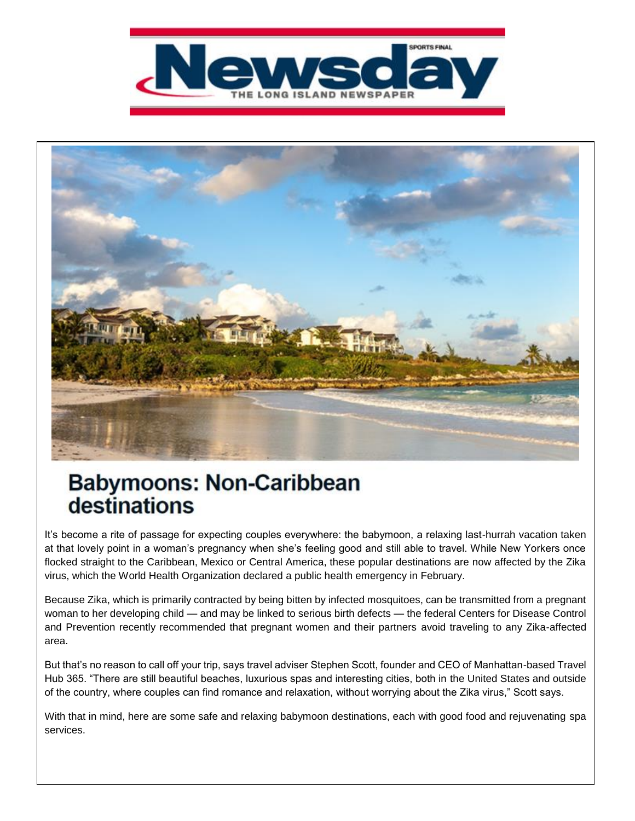



## **Babymoons: Non-Caribbean** destinations

It's become a rite of passage for expecting couples everywhere: the babymoon, a relaxing last-hurrah vacation taken at that lovely point in a woman's pregnancy when she's feeling good and still able to travel. While New Yorkers once flocked straight to the Caribbean, Mexico or Central America, these popular destinations are now affected by the Zika virus, which the World Health Organization declared a public health emergency in February.

Because Zika, which is primarily contracted by being bitten by infected mosquitoes, can be transmitted from a pregnant woman to her developing child — and may be linked to serious birth defects — the federal Centers for Disease Control and Prevention recently recommended that pregnant women and their partners avoid traveling to any Zika-affected area.

But that's no reason to call off your trip, says travel adviser Stephen Scott, founder and CEO of Manhattan-based Travel Hub 365. "There are still beautiful beaches, luxurious spas and interesting cities, both in the United States and outside of the country, where couples can find romance and relaxation, without worrying about the Zika virus," Scott says.

With that in mind, here are some safe and relaxing babymoon destinations, each with good food and rejuvenating spa services.